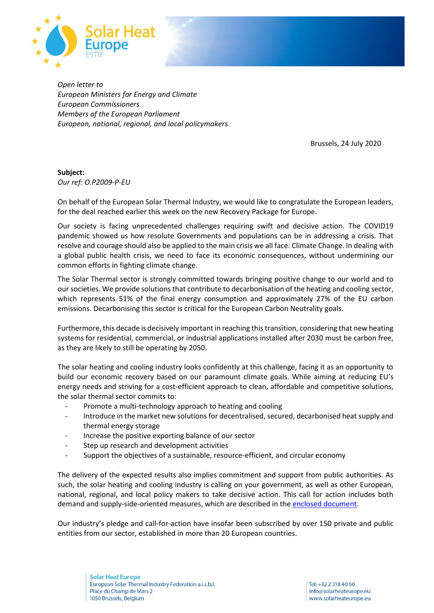

*Open letter to European Ministers for Energy and Climate European Commissioners Members of the European Parliament European, national, regional, and local policymakers*

Brussels, 24 July 2020

**Subject:**  *Our ref: O.P2009-P-EU*

On behalf of the European Solar Thermal Industry, we would like to congratulate the European leaders, for the deal reached earlier this week on the new Recovery Package for Europe.

Our society is facing unprecedented challenges requiring swift and decisive action. The COVID19 pandemic showed us how resolute Governments and populations can be in addressing a crisis. That resolve and courage should also be applied to the main crisis we all face: Climate Change. In dealing with a global public health crisis, we need to face its economic consequences, without undermining our common efforts in fighting climate change.

The Solar Thermal sector is strongly committed towards bringing positive change to our world and to our societies. We provide solutions that contribute to decarbonisation of the heating and cooling sector, which represents 51% of the final energy consumption and approximately 27% of the EU carbon emissions. Decarbonising this sector is critical for the European Carbon Neutrality goals.

Furthermore, this decade is decisively important in reaching this transition, considering that new heating systems for residential, commercial, or industrial applications installed after 2030 must be carbon free, as they are likely to still be operating by 2050.

The solar heating and cooling industry looks confidently at this challenge, facing it as an opportunity to build our economic recovery based on our paramount climate goals. While aiming at reducing EU's energy needs and striving for a cost-efficient approach to clean, affordable and competitive solutions, the solar thermal sector commits to:

- Promote a multi-technology approach to heating and cooling
- Introduce in the market new solutions for decentralised, secured, decarbonised heat supply and thermal energy storage
- Increase the positive exporting balance of our sector
- Step up research and development activities
- Support the objectives of a sustainable, resource-efficient, and circular economy

The delivery of the expected results also implies commitment and support from public authorities. As such, the solar heating and cooling industry is calling on your government, as well as other European, national, regional, and local policy makers to take decisive action. This call for action includes both demand and supply-side-oriented measures, which are described in the enclosed [document.](http://solariseheat.eu/wp-content/uploads/2020/07/pledge2020_en.pdf)

Our industry's pledge and call-for-action have insofar been subscribed by over 150 private and public entities from our sector, established in more than 20 European countries.

**Solar Heat Europe** European Solar Thermal Industry Federation a.i.s.b.l. Place du Champ de Mars 2 1050 Brussels, Belgium

Tel: +32 2 318 40 60 info@solarheateurope.eu www.solarheateurope.eu